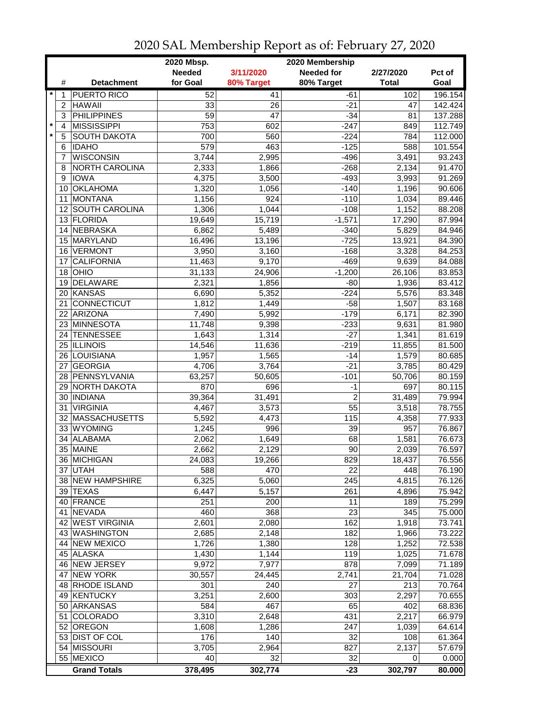|         |    |                     | 2020 Mbsp.      |                 | 2020 Membership   |              |         |
|---------|----|---------------------|-----------------|-----------------|-------------------|--------------|---------|
|         |    |                     | <b>Needed</b>   | 3/11/2020       | <b>Needed for</b> | 2/27/2020    | Pct of  |
|         | #  | <b>Detachment</b>   | for Goal        | 80% Target      | 80% Target        | <b>Total</b> | Goal    |
| $\star$ | 1  | <b>PUERTO RICO</b>  | 52              | 41              | -61               | 102          | 196.154 |
|         | 2  | <b>HAWAII</b>       | 33              | 26              | -21               | 47           | 142.424 |
|         | 3  | <b>PHILIPPINES</b>  | $\overline{59}$ | $\overline{47}$ | $-34$             | 81           | 137.288 |
| $\star$ | 4  | <b>MISSISSIPPI</b>  | 753             | 602             | $-247$            | 849          | 112.749 |
|         | 5  | <b>SOUTH DAKOTA</b> | 700             | 560             | $-224$            | 784          | 112.000 |
|         | 6  | <b>IDAHO</b>        | 579             | 463             | $-125$            | 588          | 101.554 |
|         | 7  | <b>WISCONSIN</b>    | 3,744           | 2,995           | $-496$            | 3,491        | 93.243  |
|         | 8  | NORTH CAROLINA      | 2,333           | 1,866           | $-268$            | 2,134        | 91.470  |
|         | 9  | <b>IOWA</b>         | 4,375           | 3,500           | $-493$            | 3,993        | 91.269  |
|         | 10 | <b>OKLAHOMA</b>     | 1,320           | 1,056           | $-140$            | 1,196        | 90.606  |
|         | 11 | <b>MONTANA</b>      | 1,156           | 924             | $-110$            | 1,034        | 89.446  |
|         |    | 12 SOUTH CAROLINA   | 1,306           | 1,044           | $-108$            | 1,152        | 88.208  |
|         |    | 13 FLORIDA          | 19,649          | 15,719          | $-1,571$          | 17,290       | 87.994  |
|         |    | 14 NEBRASKA         | 6,862           | 5,489           | $-340$            | 5,829        | 84.946  |
|         |    | 15 MARYLAND         | 16,496          | 13,196          | $-725$            | 13,921       | 84.390  |
|         | 16 | <b>VERMONT</b>      | 3,950           | 3,160           | $-168$            | 3,328        | 84.253  |
|         | 17 | <b>CALIFORNIA</b>   | 11,463          | 9,170           | $-469$            | 9,639        | 84.088  |
|         | 18 | OHIO                | 31,133          | 24,906          | $-1,200$          | 26,106       | 83.853  |
|         |    | DELAWARE            |                 |                 |                   |              | 83.412  |
|         | 19 |                     | 2,321           | 1,856           | $-80$             | 1,936        |         |
|         | 21 | 20 KANSAS           | 6,690           | 5,352           | $-224$<br>$-58$   | 5,576        | 83.348  |
|         |    | <b>CONNECTICUT</b>  | 1,812           | 1,449           | $-179$            | 1,507        | 83.168  |
|         |    | 22 ARIZONA          | 7,490           | 5,992           |                   | 6,171        | 82.390  |
|         |    | 23 MINNESOTA        | 11,748          | 9,398           | $-233$            | 9,631        | 81.980  |
|         |    | 24 TENNESSEE        | 1,643           | 1,314           | $-27$             | 1,341        | 81.619  |
|         |    | 25 ILLINOIS         | 14,546          | 11,636          | $-219$            | 11,855       | 81.500  |
|         |    | 26 LOUISIANA        | 1,957           | 1,565           | $-14$             | 1,579        | 80.685  |
|         | 27 | <b>GEORGIA</b>      | 4,706           | 3,764           | $-21$             | 3,785        | 80.429  |
|         |    | 28 PENNSYLVANIA     | 63,257          | 50,605          | $-101$            | 50,706       | 80.159  |
|         | 29 | <b>NORTH DAKOTA</b> | 870             | 696             | $-1$              | 697          | 80.115  |
|         |    | 30   INDIANA        | 39,364          | 31,491          | $\overline{2}$    | 31,489       | 79.994  |
|         | 31 | <b>VIRGINIA</b>     | 4,467           | 3,573           | 55                | 3,518        | 78.755  |
|         |    | 32 MASSACHUSETTS    | 5,592           | 4,473           | 115               | 4,358        | 77.933  |
|         |    | 33 WYOMING          | 1,245           | 996             | 39                | 957          | 76.867  |
|         | 34 | ALABAMA             | 2,062           | 1,649           | 68                | 1,581        | 76.673  |
|         |    | 35 MAINE            | 2,662           | 2,129           | 90                | 2,039        | 76.597  |
|         |    | 36 MICHIGAN         | 24,083          | 19,266          | 829               | 18,437       | 76.556  |
|         |    | 37 UTAH             | 588             | 470             | 22                | 448          | 76.190  |
|         |    | 38 NEW HAMPSHIRE    | 6,325           | 5,060           | 245               | 4,815        | 76.126  |
|         |    | 39 TEXAS            | 6,447           | 5,157           | 261               | 4,896        | 75.942  |
|         |    | 40 FRANCE           | 251             | 200             | 11                | 189          | 75.299  |
|         |    | 41 NEVADA           | 460             | 368             | 23                | 345          | 75.000  |
|         |    | 42 WEST VIRGINIA    | 2,601           | 2,080           | 162               | 1,918        | 73.741  |
|         |    | 43 WASHINGTON       | 2,685           | 2,148           | 182               | 1,966        | 73.222  |
|         |    | 44 NEW MEXICO       | 1,726           | 1,380           | 128               | 1,252        | 72.538  |
|         |    | 45 ALASKA           | 1,430           | 1,144           | 119               | 1,025        | 71.678  |
|         |    | 46 NEW JERSEY       | 9,972           | 7,977           | 878               | 7,099        | 71.189  |
|         |    | 47 NEW YORK         | 30,557          | 24,445          | 2,741             | 21,704       | 71.028  |
|         |    | 48 RHODE ISLAND     | 301             | 240             | 27                | 213          | 70.764  |
|         |    | 49 KENTUCKY         | 3,251           | 2,600           | 303               | 2,297        | 70.655  |
|         |    | 50 ARKANSAS         | 584             | 467             | 65                | 402          | 68.836  |
|         | 51 | <b>COLORADO</b>     | 3,310           | 2,648           | 431               | 2,217        | 66.979  |
|         |    | 52 OREGON           | 1,608           | 1,286           | 247               | 1,039        | 64.614  |
|         |    | 53 DIST OF COL      | 176             | 140             | 32                | 108          | 61.364  |
|         |    | 54 MISSOURI         | 3,705           | 2,964           | 827               | 2,137        | 57.679  |
|         |    | 55 MEXICO           | 40              | 32              | 32                | 0            | 0.000   |
|         |    | <b>Grand Totals</b> | 378,495         | 302,774         | $-23$             | 302,797      | 80.000  |

2020 SAL Membership Report as of: February 27, 2020